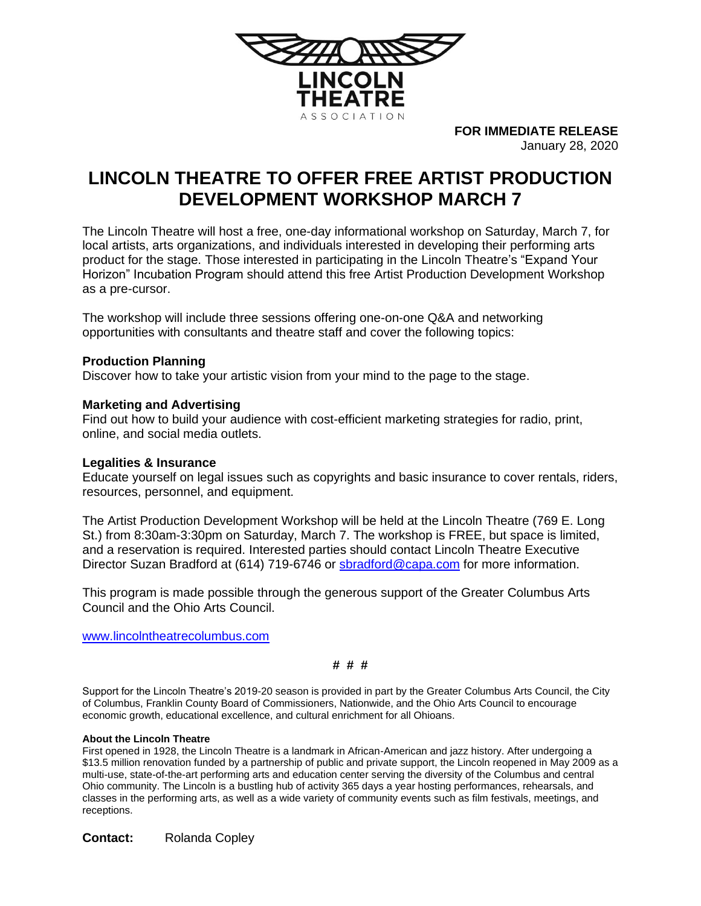

**FOR IMMEDIATE RELEASE** January 28, 2020

# **LINCOLN THEATRE TO OFFER FREE ARTIST PRODUCTION DEVELOPMENT WORKSHOP MARCH 7**

The Lincoln Theatre will host a free, one-day informational workshop on Saturday, March 7, for local artists, arts organizations, and individuals interested in developing their performing arts product for the stage. Those interested in participating in the Lincoln Theatre's "Expand Your Horizon" Incubation Program should attend this free Artist Production Development Workshop as a pre-cursor.

The workshop will include three sessions offering one-on-one Q&A and networking opportunities with consultants and theatre staff and cover the following topics:

# **Production Planning**

Discover how to take your artistic vision from your mind to the page to the stage.

# **Marketing and Advertising**

Find out how to build your audience with cost-efficient marketing strategies for radio, print, online, and social media outlets.

### **Legalities & Insurance**

Educate yourself on legal issues such as copyrights and basic insurance to cover rentals, riders, resources, personnel, and equipment.

The Artist Production Development Workshop will be held at the Lincoln Theatre (769 E. Long St.) from 8:30am-3:30pm on Saturday, March 7. The workshop is FREE, but space is limited, and a reservation is required. Interested parties should contact Lincoln Theatre Executive Director Suzan Bradford at (614) 719-6746 or [sbradford@capa.com](mailto:sbradford@capa.com) for more information.

This program is made possible through the generous support of the Greater Columbus Arts Council and the Ohio Arts Council.

[www.lincolntheatrecolumbus.com](http://www.lincolntheatrecolumbus.com/)

### **# # #**

Support for the Lincoln Theatre's 2019-20 season is provided in part by the Greater Columbus Arts Council, the City of Columbus, Franklin County Board of Commissioners, Nationwide, and the Ohio Arts Council to encourage economic growth, educational excellence, and cultural enrichment for all Ohioans.

#### **About the Lincoln Theatre**

First opened in 1928, the Lincoln Theatre is a landmark in African-American and jazz history. After undergoing a \$13.5 million renovation funded by a partnership of public and private support, the Lincoln reopened in May 2009 as a multi-use, state-of-the-art performing arts and education center serving the diversity of the Columbus and central Ohio community. The Lincoln is a bustling hub of activity 365 days a year hosting performances, rehearsals, and classes in the performing arts, as well as a wide variety of community events such as film festivals, meetings, and receptions.

**Contact:** Rolanda Copley